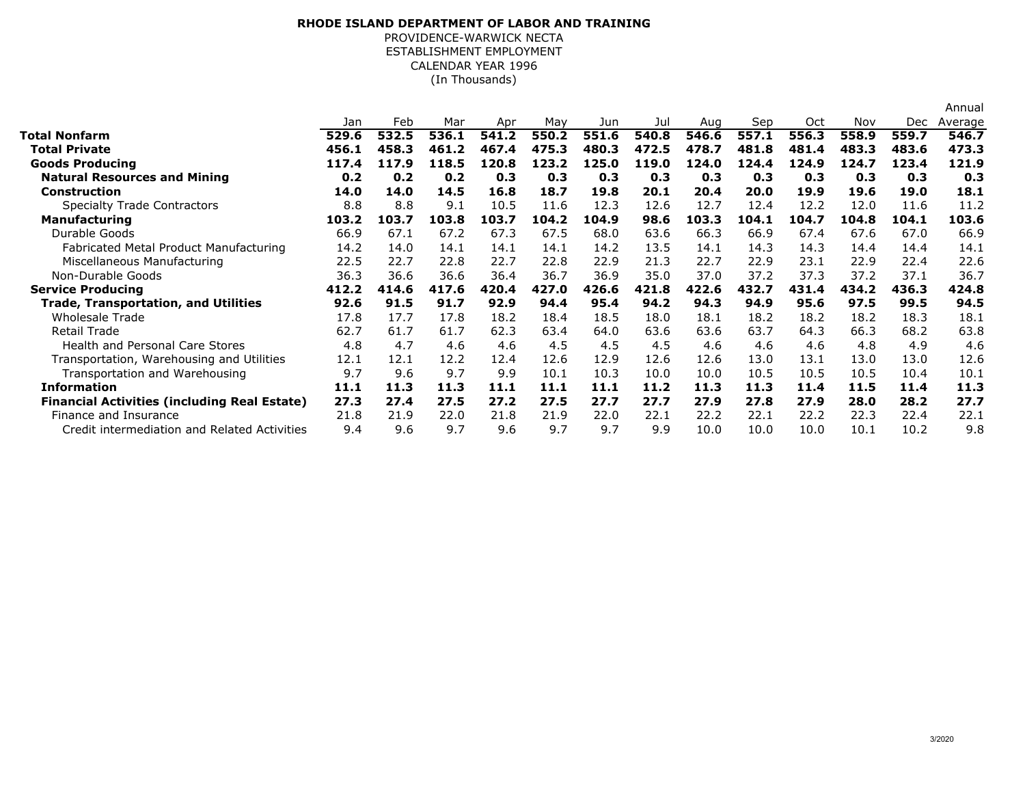## **RHODE ISLAND DEPARTMENT OF LABOR AND TRAINING**

ESTABLISHMENT EMPLOYMENT PROVIDENCE-WARWICK NECTACALENDAR YEAR 1996(In Thousands)

|                                                     |       |       |       |       |       |       |       |       |       |       |       |       | Annual  |
|-----------------------------------------------------|-------|-------|-------|-------|-------|-------|-------|-------|-------|-------|-------|-------|---------|
|                                                     | Jan   | Feb   | Mar   | Apr   | May   | Jun   | Jul   | Aug   | Sep   | Oct   | Nov   | Dec.  | Average |
| <b>Total Nonfarm</b>                                | 529.6 | 532.5 | 536.1 | 541.2 | 550.2 | 551.6 | 540.8 | 546.6 | 557.1 | 556.3 | 558.9 | 559.7 | 546.7   |
| <b>Total Private</b>                                | 456.1 | 458.3 | 461.2 | 467.4 | 475.3 | 480.3 | 472.5 | 478.7 | 481.8 | 481.4 | 483.3 | 483.6 | 473.3   |
| <b>Goods Producing</b>                              | 117.4 | 117.9 | 118.5 | 120.8 | 123.2 | 125.0 | 119.0 | 124.0 | 124.4 | 124.9 | 124.7 | 123.4 | 121.9   |
| <b>Natural Resources and Mining</b>                 | 0.2   | 0.2   | 0.2   | 0.3   | 0.3   | 0.3   | 0.3   | 0.3   | 0.3   | 0.3   | 0.3   | 0.3   | 0.3     |
| <b>Construction</b>                                 | 14.0  | 14.0  | 14.5  | 16.8  | 18.7  | 19.8  | 20.1  | 20.4  | 20.0  | 19.9  | 19.6  | 19.0  | 18.1    |
| <b>Specialty Trade Contractors</b>                  | 8.8   | 8.8   | 9.1   | 10.5  | 11.6  | 12.3  | 12.6  | 12.7  | 12.4  | 12.2  | 12.0  | 11.6  | 11.2    |
| <b>Manufacturing</b>                                | 103.2 | 103.7 | 103.8 | 103.7 | 104.2 | 104.9 | 98.6  | 103.3 | 104.1 | 104.7 | 104.8 | 104.1 | 103.6   |
| Durable Goods                                       | 66.9  | 67.1  | 67.2  | 67.3  | 67.5  | 68.0  | 63.6  | 66.3  | 66.9  | 67.4  | 67.6  | 67.0  | 66.9    |
| Fabricated Metal Product Manufacturing              | 14.2  | 14.0  | 14.1  | 14.1  | 14.1  | 14.2  | 13.5  | 14.1  | 14.3  | 14.3  | 14.4  | 14.4  | 14.1    |
| Miscellaneous Manufacturing                         | 22.5  | 22.7  | 22.8  | 22.7  | 22.8  | 22.9  | 21.3  | 22.7  | 22.9  | 23.1  | 22.9  | 22.4  | 22.6    |
| Non-Durable Goods                                   | 36.3  | 36.6  | 36.6  | 36.4  | 36.7  | 36.9  | 35.0  | 37.0  | 37.2  | 37.3  | 37.2  | 37.1  | 36.7    |
| <b>Service Producing</b>                            | 412.2 | 414.6 | 417.6 | 420.4 | 427.0 | 426.6 | 421.8 | 422.6 | 432.7 | 431.4 | 434.2 | 436.3 | 424.8   |
| <b>Trade, Transportation, and Utilities</b>         | 92.6  | 91.5  | 91.7  | 92.9  | 94.4  | 95.4  | 94.2  | 94.3  | 94.9  | 95.6  | 97.5  | 99.5  | 94.5    |
| <b>Wholesale Trade</b>                              | 17.8  | 17.7  | 17.8  | 18.2  | 18.4  | 18.5  | 18.0  | 18.1  | 18.2  | 18.2  | 18.2  | 18.3  | 18.1    |
| Retail Trade                                        | 62.7  | 61.7  | 61.7  | 62.3  | 63.4  | 64.0  | 63.6  | 63.6  | 63.7  | 64.3  | 66.3  | 68.2  | 63.8    |
| <b>Health and Personal Care Stores</b>              | 4.8   | 4.7   | 4.6   | 4.6   | 4.5   | 4.5   | 4.5   | 4.6   | 4.6   | 4.6   | 4.8   | 4.9   | 4.6     |
| Transportation, Warehousing and Utilities           | 12.1  | 12.1  | 12.2  | 12.4  | 12.6  | 12.9  | 12.6  | 12.6  | 13.0  | 13.1  | 13.0  | 13.0  | 12.6    |
| Transportation and Warehousing                      | 9.7   | 9.6   | 9.7   | 9.9   | 10.1  | 10.3  | 10.0  | 10.0  | 10.5  | 10.5  | 10.5  | 10.4  | 10.1    |
| <b>Information</b>                                  | 11.1  | 11.3  | 11.3  | 11.1  | 11.1  | 11.1  | 11.2  | 11.3  | 11.3  | 11.4  | 11.5  | 11.4  | 11.3    |
| <b>Financial Activities (including Real Estate)</b> | 27.3  | 27.4  | 27.5  | 27.2  | 27.5  | 27.7  | 27.7  | 27.9  | 27.8  | 27.9  | 28.0  | 28.2  | 27.7    |
| Finance and Insurance                               | 21.8  | 21.9  | 22.0  | 21.8  | 21.9  | 22.0  | 22.1  | 22.2  | 22.1  | 22.2  | 22.3  | 22.4  | 22.1    |
| Credit intermediation and Related Activities        | 9.4   | 9.6   | 9.7   | 9.6   | 9.7   | 9.7   | 9.9   | 10.0  | 10.0  | 10.0  | 10.1  | 10.2  | 9.8     |